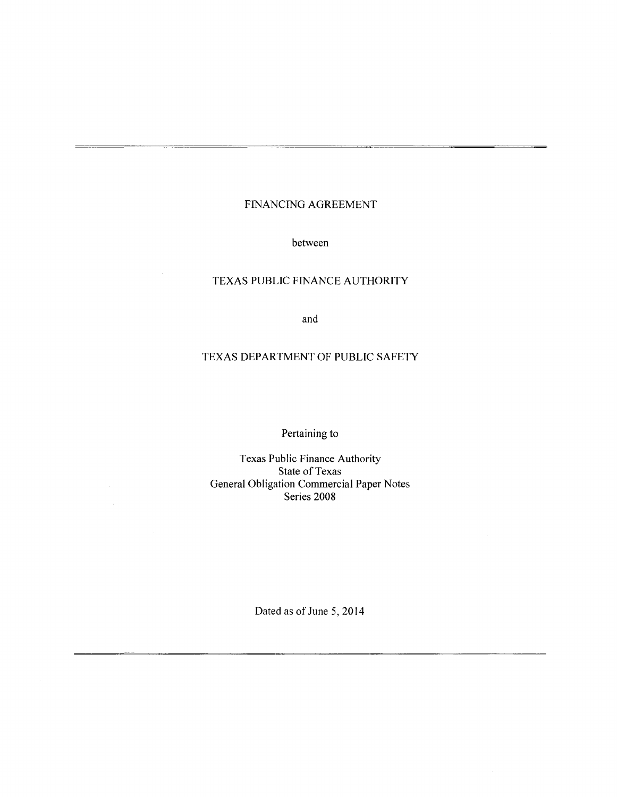# FINANCING AGREEMENT

between

# TEXAS PUBLIC FINANCE AUTHORITY

and

# TEXAS DEPARTMENT OF PUBLIC SAFETY

Pertaining to

Texas Public Finance Authority State of Texas General Obligation Commercial Paper Notes Series 2008

Dated as of June 5, 2014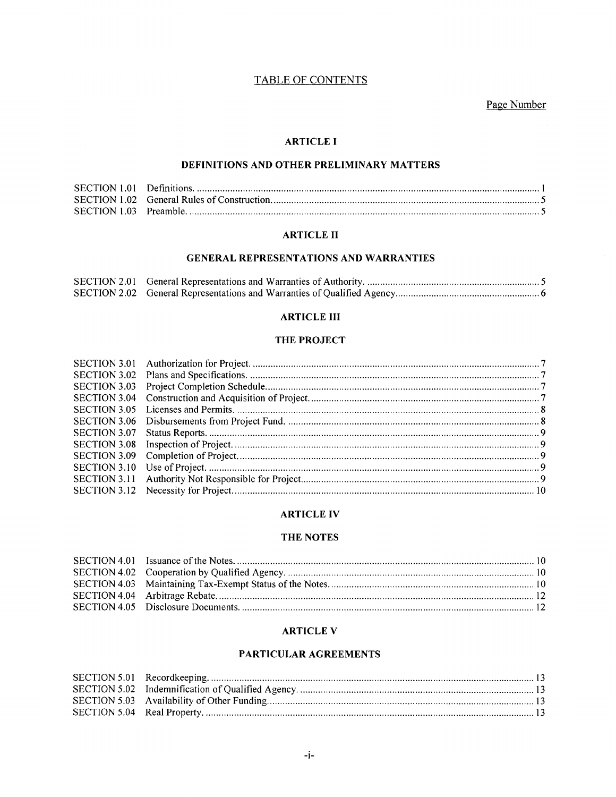# **TABLE OF CONTENTS**

Page Number

#### **ARTICLE I**

## DEFINITIONS AND OTHER PRELIMINARY MATTERS

### **ARTICLE II**

## **GENERAL REPRESENTATIONS AND WARRANTIES**

#### **ARTICLE III**

# THE PROJECT

#### **ARTICLE IV**

#### THE NOTES

#### **ARTICLE V**

### PARTICULAR AGREEMENTS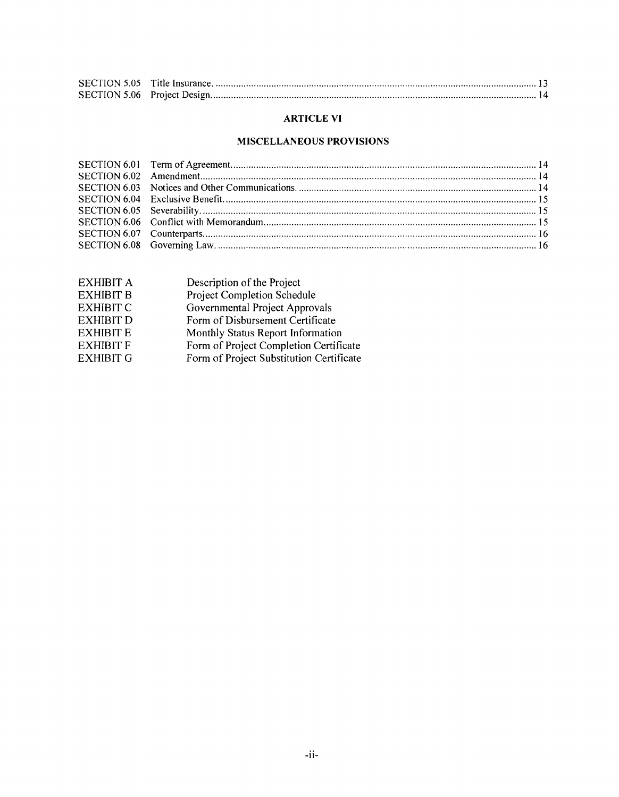## **ARTICLE VI**

# **MISCELLANEOUS PROVISIONS**

| EXHIBIT A        | Description of the Project               |
|------------------|------------------------------------------|
| <b>EXHIBIT B</b> | Project Completion Schedule              |
| <b>EXHIBIT C</b> | Governmental Project Approvals           |
| <b>EXHIBIT D</b> | Form of Disbursement Certificate         |
| <b>EXHIBIT E</b> | Monthly Status Report Information        |
| <b>EXHIBIT F</b> | Form of Project Completion Certificate   |
| <b>EXHIBIT G</b> | Form of Project Substitution Certificate |
|                  |                                          |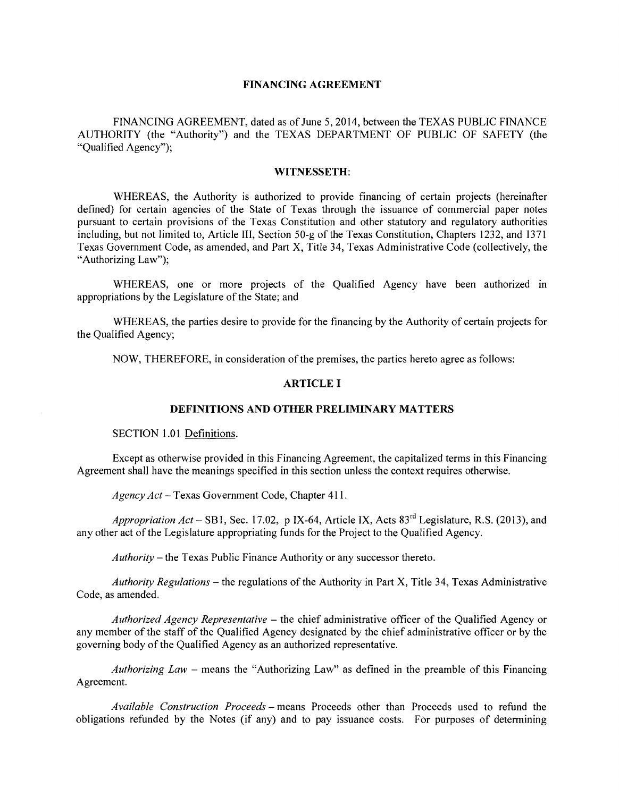#### **FINANCING AGREEMENT**

FINANCING AGREEMENT, dated as of June 5, 2014, between the TEXAS PUBLIC FINANCE AUTHORITY (the "Authority") and the TEXAS DEPARTMENT OF PUBLIC OF SAFETY (the "Qualified Agency");

#### **WITNESSETH:**

WHEREAS, the Authority is authorized to provide financing of certain projects (hereinafter defined) for certain agencies of the State of Texas through the issuance of commercial paper notes pursuant to certain provisions of the Texas Constitution and other statutory and regulatory authorities including, but not limited to, Article Ill, Section 50-g of the Texas Constitution, Chapters 1232, and 1371 Texas Government Code, as amended, and Part X, Title 34, Texas Administrative Code (collectively, the "Authorizing Law");

WHEREAS, one or more projects of the Qualified Agency have been authorized in appropriations by the Legislature of the State; and

WHEREAS, the parties desire to provide for the financing by the Authority of certain projects for the Qualified Agency;

NOW, THEREFORE, in consideration of the premises, the parties hereto agree as follows:

#### **ARTICLE I**

#### **DEFINITIONS AND OTHER PRELIMINARY MATTERS**

SECTION 1.01 Definitions.

Except as otherwise provided in this Financing Agreement, the capitalized terms in this Financing Agreement shall have the meanings specified in this section unless the context requires otherwise.

*Agency Act-* Texas Government Code, Chapter 41 I.

*Appropriation Act-* SB1, Sec. 17.02, p IX-64, Article IX, Acts 83rd Legislature, R.S. (2013), and any other act of the Legislature appropriating funds for the Project to the Qualified Agency.

*Authority-* the Texas Public Finance Authority or any successor thereto.

*Authority Regulations-* the regulations of the Authority in Part X, Title 34, Texas Administrative Code, as amended.

*Authorized Agency Representative* - the chief administrative officer of the Qualified Agency or any member of the staff of the Qualified Agency designated by the chief administrative officer or by the governing body of the Qualified Agency as an authorized representative.

*Authorizing Law* - means the "Authorizing Law" as defined in the preamble of this Financing Agreement.

*Available Construction Proceeds-* means Proceeds other than Proceeds used to refund the obligations refunded by the Notes (if any) and to pay issuance costs. For purposes of determining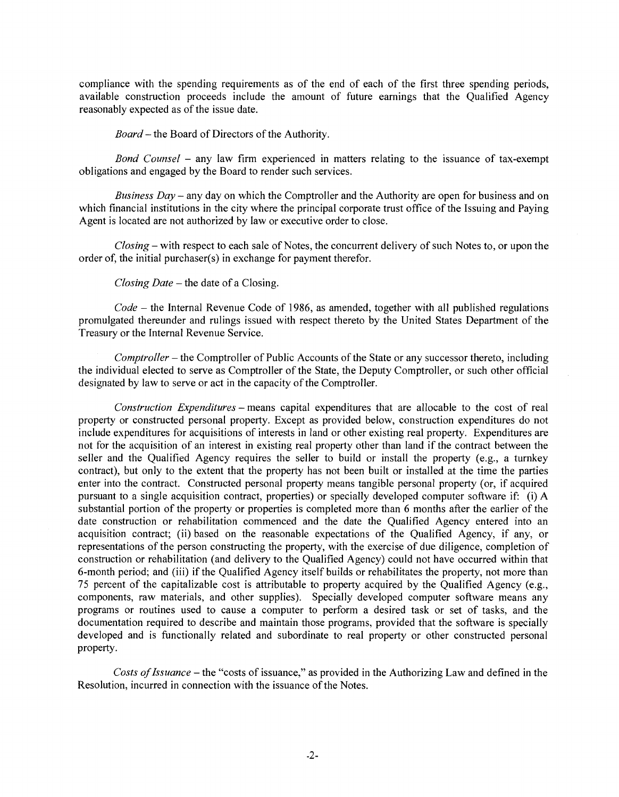compliance with the spending requirements as of the end of each of the first three spending periods, available construction proceeds include the amount of future earnings that the Qualified Agency reasonably expected as of the issue date.

*Board-* the Board of Directors of the Authority.

*Bond Counsel* - any law firm experienced in matters relating to the issuance of tax-exempt obligations and engaged by the Board to render such services.

*Business Day-* any day on which the Comptroller and the Authority are open for business and on which financial institutions in the city where the principal corporate trust office of the Issuing and Paying Agent is located are not authorized by law or executive order to close.

*Closing-* with respect to each sale of Notes, the concurrent delivery of such Notes to, or upon the order of, the initial purchaser(s) in exchange for payment therefor.

*Closing Date* – the date of a Closing.

*Code* - the Internal Revenue Code of 1986, as amended, together with all published regulations promulgated thereunder and rulings issued with respect thereto by the United States Department of the Treasury or the Internal Revenue Service.

*Comptroller-* the Comptroller of Public Accounts of the State or any successor thereto, including the individual elected to serve as Comptroller of the State, the Deputy Comptroller, or such other official designated by law to serve or act in the capacity of the Comptroller.

*Construction Expenditures-* means capital expenditures that are allocable to the cost of real property or constructed personal property. Except as provided below, construction expenditures do not include expenditures for acquisitions of interests in land or other existing real property. Expenditures are not for the acquisition of an interest in existing real property other than land if the contract between the seller and the Qualified Agency requires the seller to build or install the property (e.g., a turnkey contract), but only to the extent that the property has not been built or installed at the time the parties enter into the contract. Constructed personal property means tangible personal property (or, if acquired pursuant to a single acquisition contract, properties) or specially developed computer software if: (i) A substantial portion of the property or properties is completed more than 6 months after the earlier of the date construction or rehabilitation commenced and the date the Qualified Agency entered into an acquisition contract; (ii) based on the reasonable expectations of the Qualified Agency, if any, or representations of the person constructing the property, with the exercise of due diligence, completion of construction or rehabilitation (and delivery to the Qualified Agency) could not have occurred within that 6-month period; and (iii) if the Qualified Agency itself builds or rehabilitates the property, not more than 75 percent of the capitalizable cost is attributable to property acquired by the Qualified Agency (e.g., components, raw materials, and other supplies). Specially developed computer software means any programs or routines used to cause a computer to perform a desired task or set of tasks, and the documentation required to describe and maintain those programs, provided that the software is specially developed and is functionally related and subordinate to real property or other constructed personal property.

*Costs of Issuance-* the "costs of issuance," as provided in the Authorizing Law and defined in the Resolution, incurred in connection with the issuance of the Notes.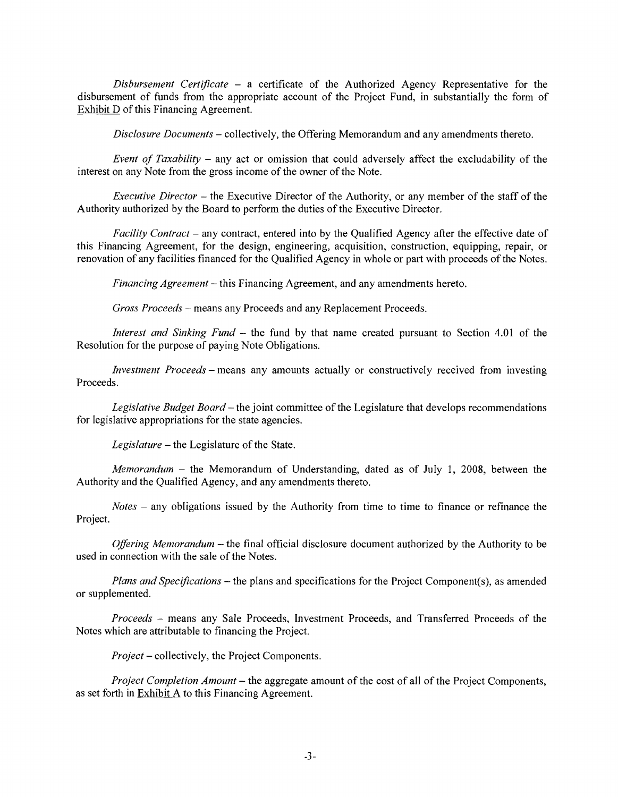*Disbursement Certificate* - a certificate of the Authorized Agency Representative for the disbursement of funds from the appropriate account of the Project Fund, in substantially the form of Exhibit D of this Financing Agreement.

*Disclosure Documents* - collectively, the Offering Memorandum and any amendments thereto.

*Event of Taxability* - any act or omission that could adversely affect the excludability of the interest on any Note from the gross income of the owner of the Note.

*Executive Director* – the Executive Director of the Authority, or any member of the staff of the Authority authorized by the Board to perform the duties of the Executive Director.

*Facility Contract-* any contract, entered into by the Qualified Agency after the effective date of this Financing Agreement, for the design, engineering, acquisition, construction, equipping, repair, or renovation of any facilities financed for the Qualified Agency in whole or part with proceeds of the Notes.

*Financing Agreement-* this Financing Agreement, and any amendments hereto.

*Gross Proceeds* - means any Proceeds and any Replacement Proceeds.

*Interest and Sinking Fund* - the fund by that name created pursuant to Section 4.01 of the Resolution for the purpose of paying Note Obligations.

*Investment Proceeds-* means any amounts actually or constructively received from investing Proceeds.

*Legislative Budget Board-* the joint committee of the Legislature that develops recommendations for legislative appropriations for the state agencies.

*Legislature* -the Legislature of the State.

*Memorandum* - the Memorandum of Understanding, dated as of July 1, 2008, between the Authority and the Qualified Agency, and any amendments thereto.

*Notes* - any obligations issued by the Authority from time to time to finance or refinance the Project.

*Offering Memorandum* – the final official disclosure document authorized by the Authority to be used in connection with the sale of the Notes.

*Plans and Specifications-* the plans and specifications for the Project Component(s), as amended or supplemented.

*Proceeds* - means any Sale Proceeds, Investment Proceeds, and Transferred Proceeds of the Notes which are attributable to financing the Project.

*Project-* collectively, the Project Components.

*Project Completion Amount* - the aggregate amount of the cost of all of the Project Components, as set forth in Exhibit  $\overline{A}$  to this Financing Agreement.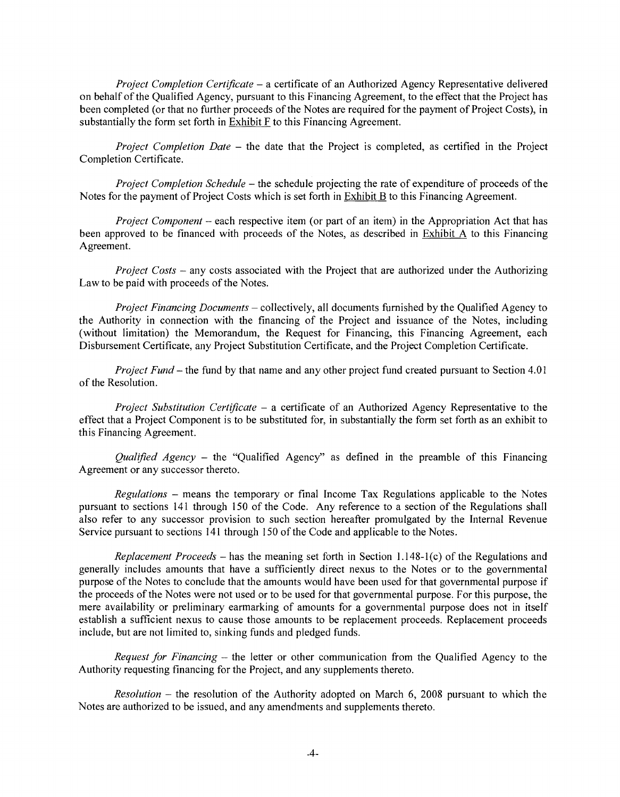*Project Completion Certificate* - a certificate of an Authorized Agency Representative delivered on behalf of the Qualified Agency, pursuant to this Financing Agreement, to the effect that the Project has been completed (or that no further proceeds of the Notes are required for the payment of Project Costs), in substantially the form set forth in Exhibit F to this Financing Agreement.

*Project Completion Date* - the date that the Project is completed, as certified in the Project Completion Certificate.

*Project Completion Schedule* – the schedule projecting the rate of expenditure of proceeds of the Notes for the payment of Project Costs which is set forth in Exhibit B to this Financing Agreement.

*Project Component* – each respective item (or part of an item) in the Appropriation Act that has been approved to be financed with proceeds of the Notes, as described in  $Exhibit A$  to this Financing Agreement.

*Project Costs* - any costs associated with the Project that are authorized under the Authorizing Law to be paid with proceeds of the Notes.

*Project Financing Documents-* collectively, all documents furnished by the Qualified Agency to the Authority in connection with the financing of the Project and issuance of the Notes, including (without limitation) the Memorandum, the Request for Financing, this Financing Agreement, each Disbursement Certificate, any Project Substitution Certificate, and the Project Completion Certificate.

*Project Fund-* the fund by that name and any other project fund created pursuant to Section 4.01 of the Resolution.

*Project Substitution Certificate* - a certificate of an Authorized Agency Representative to the effect that a Project Component is to be substituted for, in substantially the form set forth as an exhibit to this Financing Agreement.

*Qualified Agency* - the "Qualified Agency" as defined in the preamble of this Financing Agreement or any successor thereto.

*Regulations* - means the temporary or final Income Tax Regulations applicable to the Notes pursuant to sections 141 through 150 of the Code. Any reference to a section of the Regulations shall also refer to any successor provision to such section hereafter promulgated by the Internal Revenue Service pursuant to sections 141 through 150 of the Code and applicable to the Notes.

*Replacement Proceeds* – has the meaning set forth in Section 1.148-1(c) of the Regulations and generally includes amounts that have a sufficiently direct nexus to the Notes or to the governmental purpose of the Notes to conclude that the amounts would have been used for that governmental purpose if the proceeds of the Notes were not used or to be used for that governmental purpose. For this purpose, the mere availability or preliminary earmarking of amounts for a governmental purpose does not in itself establish a sufficient nexus to cause those amounts to be replacement proceeds. Replacement proceeds include, but are not limited to, sinking funds and pledged funds.

*Request for Financing* - the letter or other communication from the Qualified Agency to the Authority requesting financing for the Project, and any supplements thereto.

*Resolution* - the resolution of the Authority adopted on March 6, 2008 pursuant to which the Notes are authorized to be issued, and any amendments and supplements thereto.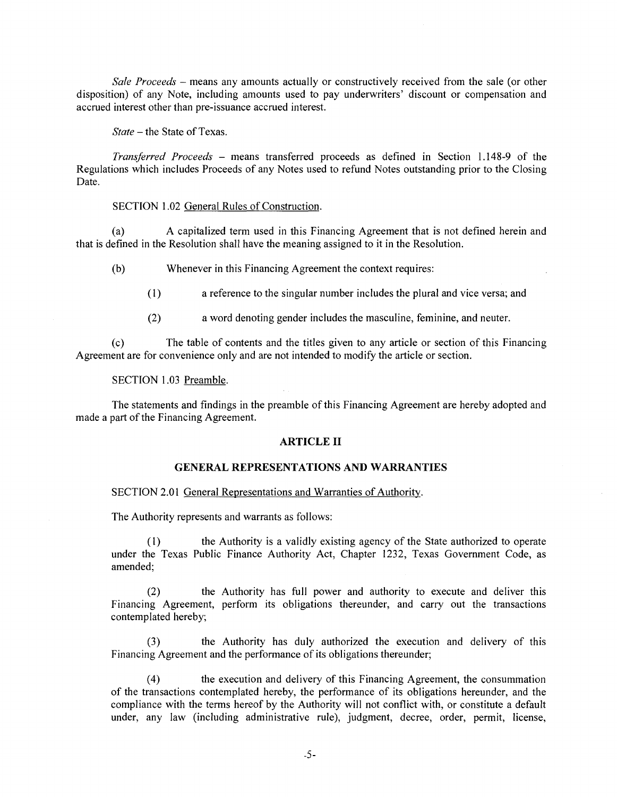*Sale Proceeds* - means any amounts actually or constructively received from the sale (or other disposition) of any Note, including amounts used to pay underwriters' discount or compensation and accrued interest other than pre-issuance accrued interest.

*State-* the State of Texas.

*Transferred Proceeds* - means transferred proceeds as defined in Section I .148-9 of the Regulations which includes Proceeds of any Notes used to refund Notes outstanding prior to the Closing Date.

#### SECTION 1.02 General Rules of Construction.

(a) A capitalized term used in this Financing Agreement that is not defined herein and that is defined in the Resolution shall have the meaning assigned to it in the Resolution.

(b) Whenever in this Financing Agreement the context requires:

(1) a reference to the singular number includes the plural and vice versa; and

(2) a word denoting gender includes the masculine, feminine, and neuter.

(c) The table of contents and the titles given to any article or section of this Financing Agreement are for convenience only and are not intended to modify the article or section.

#### SECTION 1.03 Preamble.

The statements and findings in the preamble of this Financing Agreement are hereby adopted and made a part of the Financing Agreement.

#### **ARTICLE II**

#### **GENERAL REPRESENTATIONS AND WARRANTIES**

#### SECTION 2.01 General Representations and Warranties of Authority.

The Authority represents and warrants as follows:

( 1) the Authority is a validly existing agency of the State authorized to operate under the Texas Public Finance Authority Act, Chapter 1232, Texas Government Code, as amended;

(2) the Authority has full power and authority to execute and deliver this Financing Agreement, perform its obligations thereunder, and carry out the transactions contemplated hereby;

(3) the Authority has duly authorized the execution and delivery of this Financing Agreement and the performance of its obligations thereunder;

(4) the execution and delivery of this Financing Agreement, the consummation of the transactions contemplated hereby, the performance of its obligations hereunder, and the compliance with the terms hereof by the Authority will not conflict with, or constitute a default under, any law (including administrative rule), judgment, decree, order, permit, license,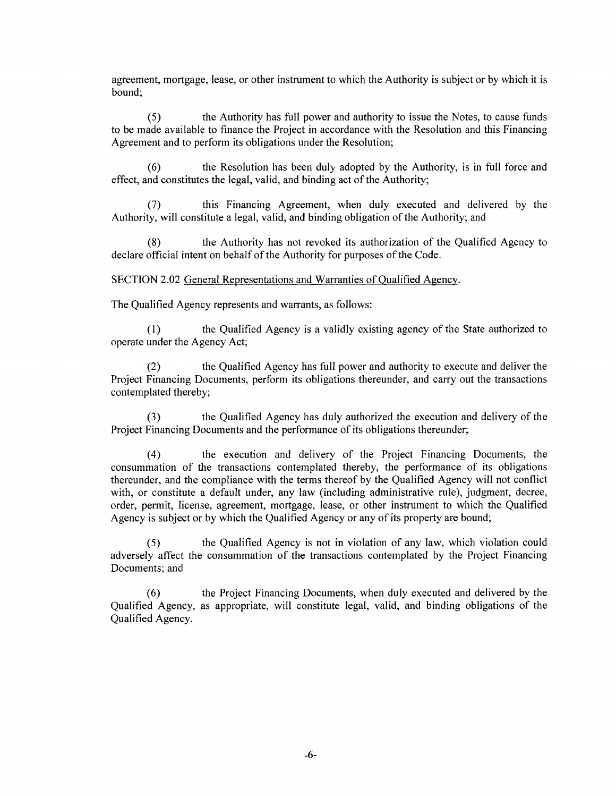agreement, mortgage, lease, or other instrument to which the Authority is subject or by which it is bound;

(5) the Authority has full power and authority to issue the Notes, to cause funds to be made available to finance the Project in accordance with the Resolution and this Financing Agreement and to perform its obligations under the Resolution;

the Resolution has been duly adopted by the Authority, is in full force and effect, and constitutes the legal, valid, and binding act of the Authority;

(7) this Financing Agreement, when duly executed and delivered by the Authority, will constitute a legal, valid, and binding obligation of the Authority; and

(8) the Authority has not revoked its authorization of the Qualified Agency to declare official intent on behalf of the Authority for purposes of the Code.

SECTION 2.02 General Representations and Warranties of Qualified Agency.

The Qualified Agency represents and warrants, as follows:

( 1) the Qualified Agency is a validly existing agency of the State authorized to operate under the Agency Act;

(2) the Qualified Agency has full power and authority to execute and deliver the Project Financing Documents, perform its obligations thereunder, and carry out the transactions contemplated thereby;

(3) the Qualified Agency has duly authorized the execution and delivery of the Project Financing Documents and the performance of its obligations thereunder;

( 4) the execution and delivery of the Project Financing Documents, the consummation of the transactions contemplated thereby, the performance of its obligations thereunder, and the compliance with the terms thereof by the Qualified Agency will not conflict with, or constitute a default under, any law (including administrative rule), judgment, decree, order, permit, license, agreement, mortgage, lease, or other instrument to which the Qualified Agency is subject or by which the Qualified Agency or any of its property are bound;

(5) the Qualified Agency is not in violation of any law, which violation could adversely affect the consummation of the transactions contemplated by the Project Financing Documents; and

(6) the Project Financing Documents, when duly executed and delivered by the Qualified Agency, as appropriate, will constitute legal, valid, and binding obligations of the Qualified Agency.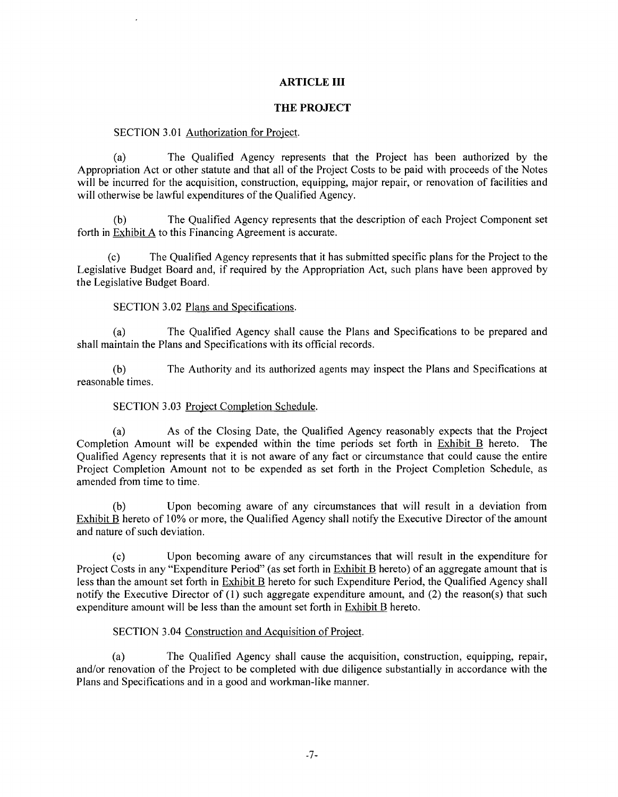# **ARTICLE III**

## **THE PROJECT**

#### SECTION 3.01 Authorization for Project.

(a) The Qualified Agency represents that the Project has been authorized by the Appropriation Act or other statute and that all of the Project Costs to be paid with proceeds of the Notes will be incurred for the acquisition, construction, equipping, major repair, or renovation of facilities and will otherwise be lawful expenditures of the Qualified Agency.

(b) The Qualified Agency represents that the description of each Project Component set forth in Exhibit A to this Financing Agreement is accurate.

(c) The Qualified Agency represents that it has submitted specific plans for the Project to the Legislative Budget Board and, if required by the Appropriation Act, such plans have been approved by the Legislative Budget Board.

## SECTION 3.02 Plans and Specifications.

(a) The Qualified Agency shall cause the Plans and Specifications to be prepared and shall maintain the Plans and Specifications with its official records.

(b) The Authority and its authorized agents may inspect the Plans and Specifications at reasonable times.

#### SECTION 3.03 Project Completion Schedule.

(a) As of the Closing Date, the Qualified Agency reasonably expects that the Project Completion Amount will be expended within the time periods set forth in Exhibit B hereto. The Qualified Agency represents that it is not aware of any fact or circumstance that could cause the entire Project Completion Amount not to be expended as set forth in the Project Completion Schedule, as amended from time to time.

(b) Upon becoming aware of any circumstances that will result in a deviation from Exhibit B hereto of 10% or more, the Qualified Agency shall notify the Executive Director of the amount and nature of such deviation.

(c) Upon becoming aware of any circumstances that will result in the expenditure for Project Costs in any "Expenditure Period" (as set forth in Exhibit B hereto) of an aggregate amount that is less than the amount set forth in Exhibit B hereto for such Expenditure Period, the Qualified Agency shall notify the Executive Director of (1) such aggregate expenditure amount, and (2) the reason(s) that such expenditure amount will be less than the amount set forth in Exhibit B hereto.

#### SECTION 3.04 Construction and Acquisition of Project.

(a) The Qualified Agency shall cause the acquisition, construction, equipping, repair, and/or renovation of the Project to be completed with due diligence substantially in accordance with the Plans and Specifications and in a good and workman-like manner.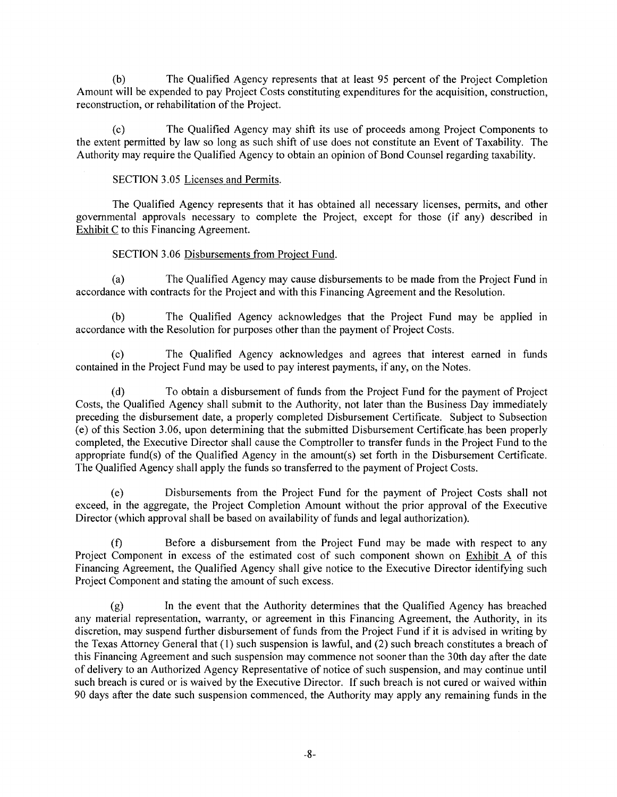(b) The Qualified Agency represents that at least 95 percent of the Project Completion Amount will be expended to pay Project Costs constituting expenditures for the acquisition, construction, reconstruction, or rehabilitation of the Project.

(c) The Qualified Agency may shift its use of proceeds among Project Components to the extent permitted by law so long as such shift of use does not constitute an Event of Taxability. The Authority may require the Qualified Agency to obtain an opinion of Bond Counsel regarding taxability.

## SECTION 3.05 Licenses and Permits.

The Qualified Agency represents that it has obtained all necessary licenses, permits, and other governmental approvals necessary to complete the Project, except for those (if any) described in Exhibit C to this Financing Agreement.

## SECTION 3.06 Disbursements from Project Fund.

(a) The Qualified Agency may cause disbursements to be made from the Project Fund in accordance with contracts for the Project and with this Financing Agreement and the Resolution.

The Qualified Agency acknowledges that the Project Fund may be applied in accordance with the Resolution for purposes other than the payment of Project Costs.

(c) The Qualified Agency acknowledges and agrees that interest earned m funds contained in the Project Fund may be used to pay interest payments, if any, on the Notes.

(d) To obtain a disbursement of funds from the Project Fund for the payment of Project Costs, the Qualified Agency shall submit to the Authority, not later than the Business Day immediately preceding the disbursement date, a properly completed Disbursement Certificate. Subject to Subsection (e) of this Section 3.06, upon determining that the submitted Disbursement Certificate.has been properly completed, the Executive Director shall cause the Comptroller to transfer funds in the Project Fund to the appropriate fund(s) of the Qualified Agency in the amount(s) set forth in the Disbursement Certificate. The Qualified Agency shall apply the funds so transferred to the payment of Project Costs.

(e) Disbursements from the Project Fund for the payment of Project Costs shall not exceed, in the aggregate, the Project Completion Amount without the prior approval of the Executive Director (which approval shall be based on availability of funds and legal authorization).

(f) Before a disbursement from the Project Fund may be made with respect to any Project Component in excess of the estimated cost of such component shown on Exhibit A of this Financing Agreement, the Qualified Agency shall give notice to the Executive Director identifying such Project Component and stating the amount of such excess.

(g) In the event that the Authority determines that the Qualified Agency has breached any material representation, warranty, or agreement in this Financing Agreement, the Authority, in its discretion, may suspend further disbursement of funds from the Project Fund if it is advised in writing by the Texas Attorney General that ( 1) such suspension is lawful, and (2) such breach constitutes a breach of this Financing Agreement and such suspension may commence not sooner than the 30th day after the date of delivery to an Authorized Agency Representative of notice of such suspension, and may continue until such breach is cured or is waived by the Executive Director. If such breach is not cured or waived within 90 days after the date such suspension commenced, the Authority may apply any remaining funds in the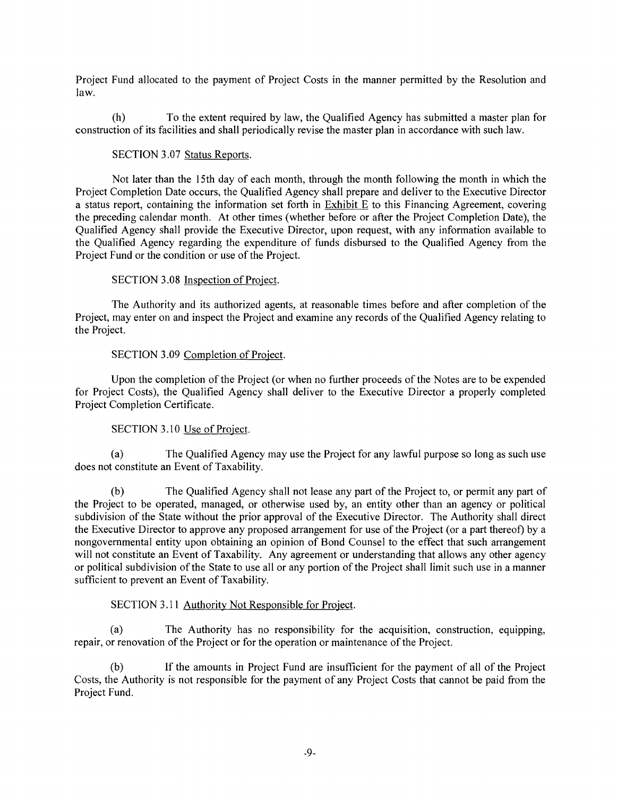Project Fund allocated to the payment of Project Costs in the manner permitted by the Resolution and law.

(h) To the extent required by law, the Qualified Agency has submitted a master plan for construction of its facilities and shall periodically revise the master plan in accordance with such law.

# SECTION 3.07 Status Reports.

Not later than the 15th day of each month, through the month following the month in which the Project Completion Date occurs, the Qualified Agency shall prepare and deliver to the Executive Director a status report, containing the information set forth in Exhibit E to this Financing Agreement, covering the preceding calendar month. At other times (whether before or after the Project Completion Date), the Qualified Agency shall provide the Executive Director, upon request, with any information available to the Qualified Agency regarding the expenditure of funds disbursed to the Qualified Agency from the Project Fund or the condition or use of the Project.

# SECTION 3.08 Inspection of Project.

The Authority and its authorized agents, at reasonable times before and after completion of the Project, may enter on and inspect the Project and examine any records of the Qualified Agency relating to the Project.

# SECTION 3.09 Completion of Project.

Upon the completion of the Project (or when no further proceeds of the Notes are to be expended for Project Costs), the Qualified Agency shall deliver to the Executive Director a properly completed Project Completion Certificate.

# SECTION 3.10 Use of Project.

(a) The Qualified Agency may use the Project for any lawful purpose so long as such use does not constitute an Event of Taxability.

(b) The Qualified Agency shall not lease any part of the Project to, or permit any part of the Project to be operated, managed, or otherwise used by, an entity other than an agency or political subdivision of the State without the prior approval of the Executive Director. The Authority shall direct the Executive Director to approve any proposed arrangement for use of the Project (or a part thereof) by a nongovernmental entity upon obtaining an opinion of Bond Counsel to the effect that such arrangement will not constitute an Event of Taxability. Any agreement or understanding that allows any other agency or political subdivision of the State to use all or any portion of the Project shall limit such use in a manner sufficient to prevent an Event of Taxability.

# SECTION 3.11 Authority Not Responsible for Project.

(a) The Authority has no responsibility for the acquisition, construction, equipping, repair, or renovation of the Project or for the operation or maintenance of the Project.

(b) If the amounts in Project Fund are insufficient for the payment of all of the Project Costs, the Authority is not responsible for the payment of any Project Costs that cannot be paid from the Project Fund.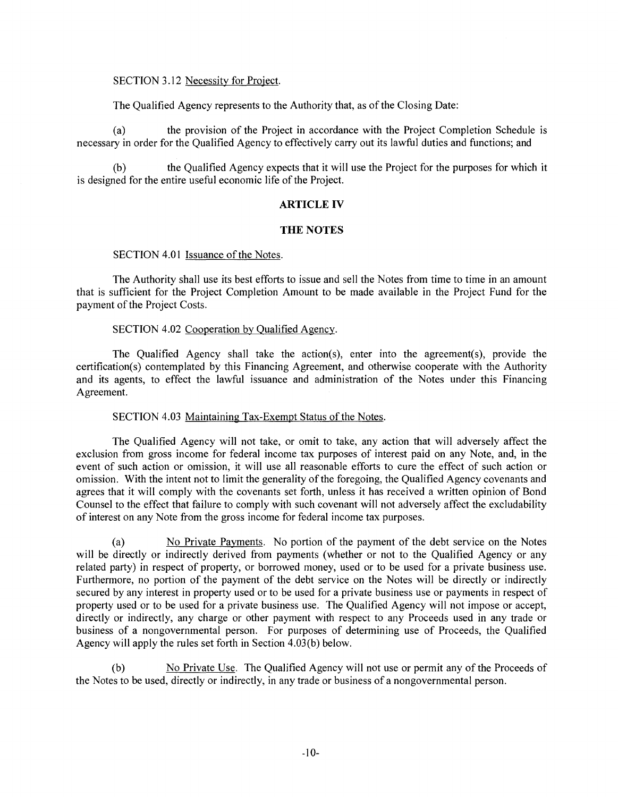## SECTION 3.12 Necessity for Project.

The Qualified Agency represents to the Authority that, as of the Closing Date:

(a) the provision of the Project in accordance with the Project Completion Schedule is necessary in order for the Qualified Agency to effectively carry out its lawful duties and functions; and

(b) the Qualified Agency expects that it will use the Project for the purposes for which it is designed for the entire useful economic life of the Project.

## **ARTICLE IV**

## **THE NOTES**

## SECTION 4.01 Issuance of the Notes.

The Authority shall use its best efforts to issue and sell the Notes from time to time in an amount that is sufficient for the Project Completion Amount to be made available in the Project Fund for the payment of the Project Costs.

## SECTION 4.02 Cooperation by Qualified Agency.

The Qualified Agency shall take the action(s), enter into the agreement(s), provide the certification(s) contemplated by this Financing Agreement, and otherwise cooperate with the Authority and its agents, to effect the lawful issuance and administration of the Notes under this Financing Agreement.

# SECTION 4.03 Maintaining Tax-Exempt Status of the Notes.

The Qualified Agency will not take, or omit to take, any action that will adversely affect the exclusion from gross income for federal income tax purposes of interest paid on any Note, and, in the event of such action or omission, it will use all reasonable efforts to cure the effect of such action or omission. With the intent not to limit the generality of the foregoing, the Qualified Agency covenants and agrees that it will comply with the covenants set forth, unless it has received a written opinion of Bond Counsel to the effect that failure to comply with such covenant will not adversely affect the excludability of interest on any Note from the gross income for federal income tax purposes.

(a) No Private Payments. No portion of the payment of the debt service on the Notes will be directly or indirectly derived from payments (whether or not to the Qualified Agency or any related party) in respect of property, or borrowed money, used or to be used for a private business use. Furthermore, no portion of the payment of the debt service on the Notes will be directly or indirectly secured by any interest in property used or to be used for a private business use or payments in respect of property used or to be used for a private business use. The Qualified Agency will not impose or accept, directly or indirectly, any charge or other payment with respect to any Proceeds used in any trade or business of a nongovernmental person. For purposes of determining use of Proceeds, the Qualified Agency will apply the rules set forth in Section 4.03(b) below.

(b) No Private Use. The Qualified Agency will not use or permit any of the Proceeds of the Notes to be used, directly or indirectly, in any trade or business of a nongovernmental person.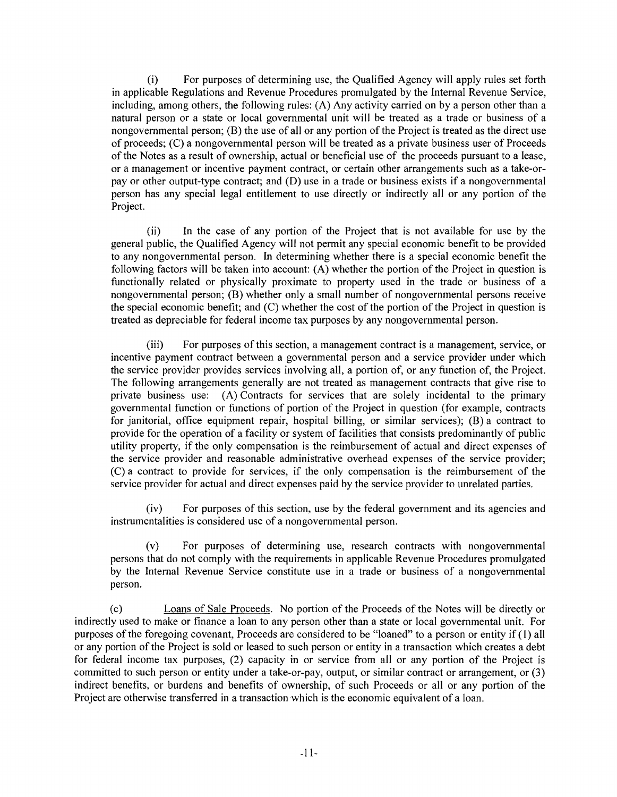(i) For purposes of determining use, the Qualified Agency will apply rules set forth in applicable Regulations and Revenue Procedures promulgated by the Internal Revenue Service, including, among others, the following rules: (A) Any activity carried on by a person other than a natural person or a state or local governmental unit will be treated as a trade or business of a nongovernmental person; (B) the use of all or any portion of the Project is treated as the direct use of proceeds; (C) a nongovernmental person will be treated as a private business user of Proceeds of the Notes as a result of ownership, actual or beneficial use of the proceeds pursuant to a lease, or a management or incentive payment contract, or certain other arrangements such as a take-orpay or other output-type contract; and (D) use in a trade or business exists if a nongovernmental person has any special legal entitlement to use directly or indirectly all or any portion of the Project.

(ii) In the case of any portion of the Project that is not available for use by the general public, the Qualified Agency will not permit any special economic benefit to be provided to any nongovernmental person. In determining whether there is a special economic benefit the following factors will be taken into account: (A) whether the portion of the Project in question is functionally related or physically proximate to property used in the trade or business of a nongovernmental person; (B) whether only a small number of nongovernmental persons receive the special economic benefit; and (C) whether the cost of the portion of the Project in question is treated as depreciable for federal income tax purposes by any nongovernmental person.

(iii) For purposes of this section, a management contract is a management, service, or incentive payment contract between a governmental person and a service provider under which the service provider provides services involving all, a portion of, or any function of, the Project. The following arrangements generally are not treated as management contracts that give rise to private business use: (A) Contracts for services that are solely incidental to the primary governmental function or functions of portion of the Project in question (for example, contracts for janitorial, office equipment repair, hospital billing, or similar services); (B) a contract to provide for the operation of a facility or system of facilities that consists predominantly of public utility property, if the only compensation is the reimbursement of actual and direct expenses of the service provider and reasonable administrative overhead expenses of the service provider; (C) a contract to provide for services, if the only compensation is the reimbursement of the service provider for actual and direct expenses paid by the service provider to unrelated parties.

(iv) For purposes of this section, use by the federal government and its agencies and instrumentalities is considered use of a nongovernmental person.

(v) For purposes of determining use, research contracts with nongovernmental persons that do not comply with the requirements in applicable Revenue Procedures promulgated by the Internal Revenue Service constitute use in a trade or business of a nongovernmental person.

(c) Loans of Sale Proceeds. No portion of the Proceeds of the Notes will be directly or indirectly used to make or finance a loan to any person other than a state or local governmental unit. For purposes of the foregoing covenant, Proceeds are considered to be "loaned" to a person or entity if (I) all or any portion of the Project is sold or leased to such person or entity in a transaction which creates a debt for federal income tax purposes, (2) capacity in or service from all or any portion of the Project is committed to such person or entity under a take-or-pay, output, or similar contract or arrangement, or (3) indirect benefits, or burdens and benefits of ownership, of such Proceeds or all or any portion of the Project are otherwise transferred in a transaction which is the economic equivalent of a loan.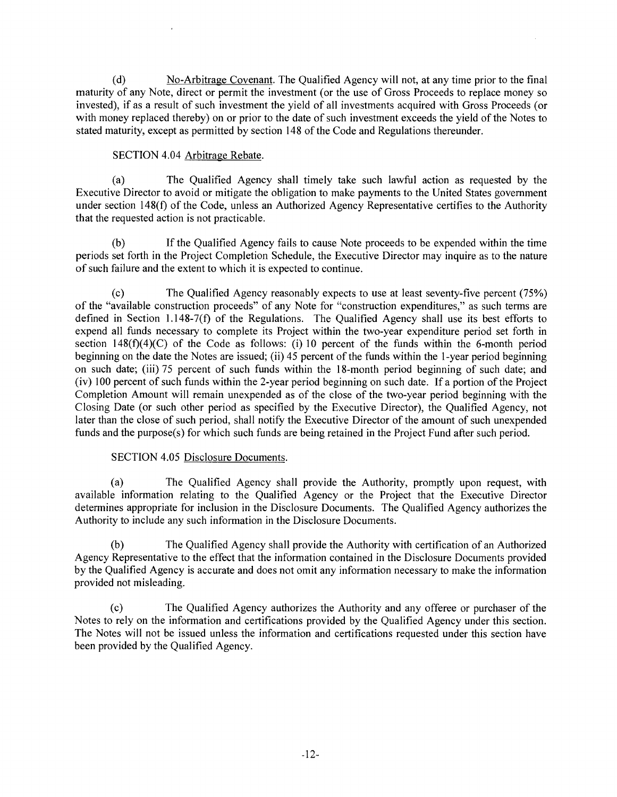(d) No-Arbitrage Covenant. The Qualified Agency will not, at any time prior to the final maturity of any Note, direct or permit the investment (or the use of Gross Proceeds to replace money so invested), if as a result of such investment the yield of all investments acquired with Gross Proceeds (or with money replaced thereby) on or prior to the date of such investment exceeds the yield of the Notes to stated maturity, except as permitted by section 148 of the Code and Regulations thereunder.

# SECTION 4.04 Arbitrage Rebate.

(a) The Qualified Agency shall timely take such lawful action as requested by the Executive Director to avoid or mitigate the obligation to make payments to the United States government under section 148(f) of the Code, unless an Authorized Agency Representative certifies to the Authority that the requested action is not practicable.

(b) If the Qualified Agency fails to cause Note proceeds to be expended within the time periods set forth in the Project Completion Schedule, the Executive Director may inquire as to the nature of such failure and the extent to which it is expected to continue.

(c) The Qualified Agency reasonably expects to use at least seventy-five percent (75%) of the "available construction proceeds" of any Note for "construction expenditures," as such terms are defined in Section 1.148-7(f) of the Regulations. The Qualified Agency shall use its best efforts to expend all funds necessary to complete its Project within the two-year expenditure period set forth in section  $148(f)(4)(C)$  of the Code as follows: (i) 10 percent of the funds within the 6-month period beginning on the date the Notes are issued; (ii) 45 percent of the funds within the 1-year period beginning on such date; (iii) 75 percent of such funds within the 18-month period beginning of such date; and (iv) 100 percent of such funds within the 2-year period beginning on such date. If a portion of the Project Completion Amount will remain unexpended as of the close of the two-year period beginning with the Closing Date (or such other period as specified by the Executive Director), the Qualified Agency, not later than the close of such period, shall notify the Executive Director of the amount of such unexpended funds and the purpose(s) for which such funds are being retained in the Project Fund after such period.

# SECTION 4.05 Disclosure Documents.

(a) The Qualified Agency shall provide the Authority, promptly upon request, with available information relating to the Qualified Agency or the Project that the Executive Director determines appropriate for inclusion in the Disclosure Documents. The Qualified Agency authorizes the Authority to include any such information in the Disclosure Documents.

(b) The Qualified Agency shall provide the Authority with certification of an Authorized Agency Representative to the effect that the information contained in the Disclosure Documents provided by the Qualified Agency is accurate and does not omit any information necessary to make the information provided not misleading.

(c) The Qualified Agency authorizes the Authority and any offeree or purchaser of the Notes to rely on the information and certifications provided by the Qualified Agency under this section. The Notes will not be issued unless the information and certifications requested under this section have been provided by the Qualified Agency.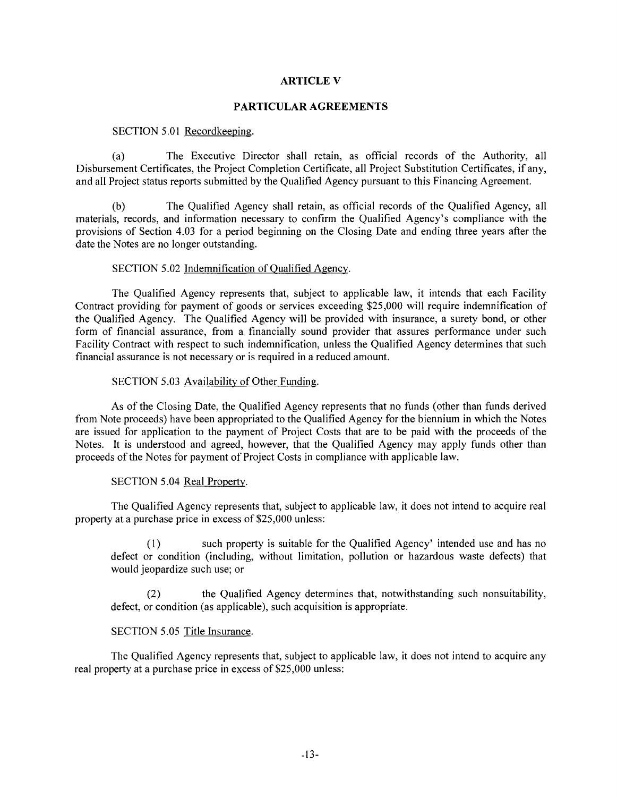## **ARTICLEV**

#### **PARTICULAR AGREEMENTS**

#### SECTION 5.01 Recordkeeping.

(a) The Executive Director shall retain, as official records of the Authority, all Disbursement Certificates, the Project Completion Certificate, all Project Substitution Certificates, if any, and all Project status reports submitted by the Qualified Agency pursuant to this Financing Agreement.

(b) The Qualified Agency shall retain, as official records of the Qualified Agency, all materials, records, and information necessary to confirm the Qualified Agency's compliance with the provisions of Section 4.03 for a period beginning on the Closing Date and ending three years after the date the Notes are no longer outstanding.

#### SECTION 5.02 Indemnification of Qualified Agency.

The Qualified Agency represents that, subject to applicable law, it intends that each Facility Contract providing for payment of goods or services exceeding \$25,000 will require indemnification of the Qualified Agency. The Qualified Agency will be provided with insurance, a surety bond, or other form of financial assurance, from a financially sound provider that assures performance under such Facility Contract with respect to such indemnification, unless the Qualified Agency determines that such financial assurance is not necessary or is required in a reduced amount.

#### SECTION 5.03 Availability of Other Funding.

As of the Closing Date, the Qualified Agency represents that no funds (other than funds derived from Note proceeds) have been appropriated to the Qualified Agency for the biennium in which the Notes are issued for application to the payment of Project Costs that are to be paid with the proceeds of the Notes. It is understood and agreed, however, that the Qualified Agency may apply funds other than proceeds of the Notes for payment of Project Costs in compliance with applicable law.

#### SECTION 5.04 Real Property.

The Qualified Agency represents that, subject to applicable law, it does not intend to acquire real property at a purchase price in excess of \$25,000 unless:

( 1) such property is suitable for the Qualified Agency' intended use and has no defect or condition (including, without limitation, pollution or hazardous waste defects) that would jeopardize such use; or

(2) the Qualified Agency determines that, notwithstanding such nonsuitability, defect, or condition (as applicable), such acquisition is appropriate.

# SECTION 5.05 Title Insurance.

The Qualified Agency represents that, subject to applicable law, it does not intend to acquire any real property at a purchase price in excess of \$25,000 unless: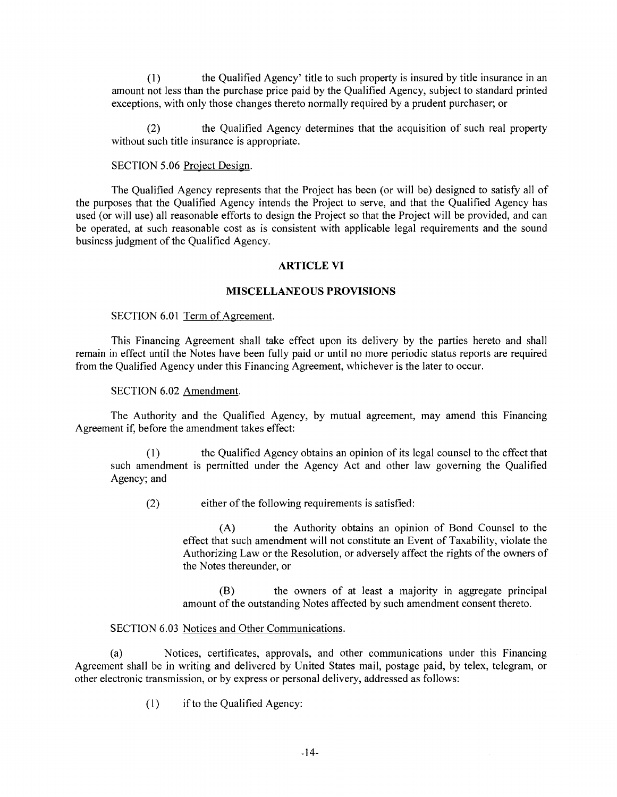( 1) the Qualified Agency' title to such property is insured by title insurance in an amount not less than the purchase price paid by the Qualified Agency, subject to standard printed exceptions, with only those changes thereto normally required by a prudent purchaser; or

(2) the Qualified Agency determines that the acquisition of such real property without such title insurance is appropriate.

## SECTION 5.06 Project Design.

The Qualified Agency represents that the Project has been (or will be) designed to satisfy all of the purposes that the Qualified Agency intends the Project to serve, and that the Qualified Agency has used (or will use) all reasonable efforts to design the Project so that the Project will be provided, and can be operated, at such reasonable cost as is consistent with applicable legal requirements and the sound business judgment of the Qualified Agency.

## **ARTICLE VI**

## **MISCELLANEOUS PROVISIONS**

# SECTION 6.01 Term of Agreement.

This Financing Agreement shall take effect upon its delivery by the parties hereto and shall remain in effect until the Notes have been fully paid or until no more periodic status reports are required from the Qualified Agency under this Financing Agreement, whichever is the later to occur.

## SECTION 6.02 Amendment.

The Authority and the Qualified Agency, by mutual agreement, may amend this Financing Agreement if, before the amendment takes effect:

( 1) the Qualified Agency obtains an opinion of its legal counsel to the effect that such amendment is permitted under the Agency Act and other law governing the Qualified Agency; and

(2) either of the following requirements is satisfied:

(A) the Authority obtains an opinion of Bond Counsel to the effect that such amendment will not constitute an Event of Taxability, violate the Authorizing Law or the Resolution, or adversely affect the rights of the owners of the Notes thereunder, or

(B) the owners of at least a majority in aggregate principal amount of the outstanding Notes affected by such amendment consent thereto.

# SECTION 6.03 Notices and Other Communications.

(a) Notices, certificates, approvals, and other communications under this Financing Agreement shall be in writing and delivered by United States mail, postage paid, by telex, telegram, or other electronic transmission, or by express or personal delivery, addressed as follows:

(1) ifto the Qualified Agency: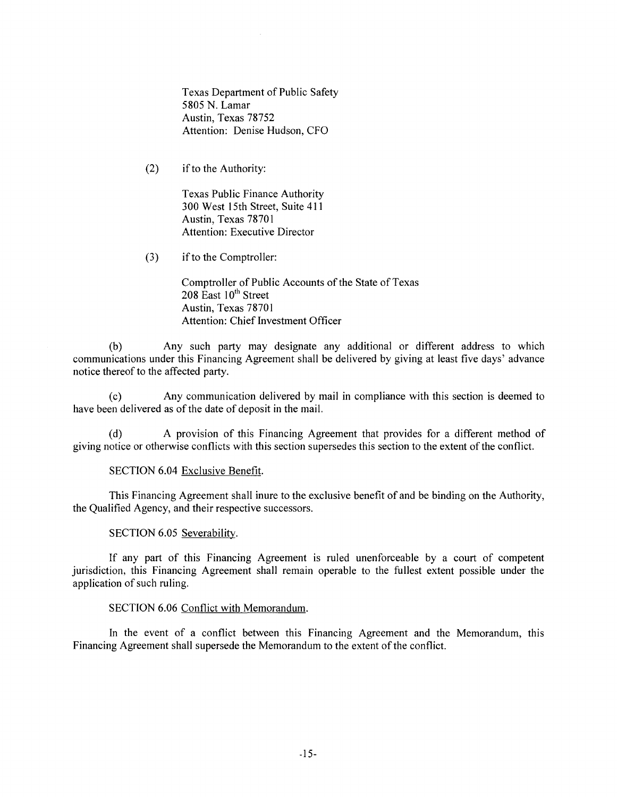Texas Department of Public Safety 5805 N. Lamar Austin, Texas 78752 Attention: Denise Hudson, CFO

(2) if to the Authority:

Texas Public Finance Authority 300 West 15th Street, Suite 411 Austin, Texas 7870 I Attention: Executive Director

(3) if to the Comptroller:

Comptroller of Public Accounts of the State of Texas  $208$  East  $10^{th}$  Street Austin, Texas 78701 Attention: Chief Investment Officer

(b) Any such party may designate any additional or different address to which communications under this Financing Agreement shall be delivered by giving at least five days' advance notice thereof to the affected party.

(c) Any communication delivered by mail in compliance with this section is deemed to have been delivered as of the date of deposit in the mail.

(d) A provision of this Financing Agreement that provides for a different method of giving notice or otherwise conflicts with this section supersedes this section to the extent of the conflict.

SECTION 6.04 Exclusive Benefit.

This Financing Agreement shall inure to the exclusive benefit of and be binding on the Authority, the Qualified Agency, and their respective successors.

SECTION 6.05 Severability.

If any part of this Financing Agreement is ruled unenforceable by a court of competent jurisdiction, this Financing Agreement shall remain operable to the fullest extent possible under the application of such ruling.

#### SECTION 6.06 Conflict with Memorandum.

In the event of a conflict between this Financing Agreement and the Memorandum, this Financing Agreement shall supersede the Memorandum to the extent of the conflict.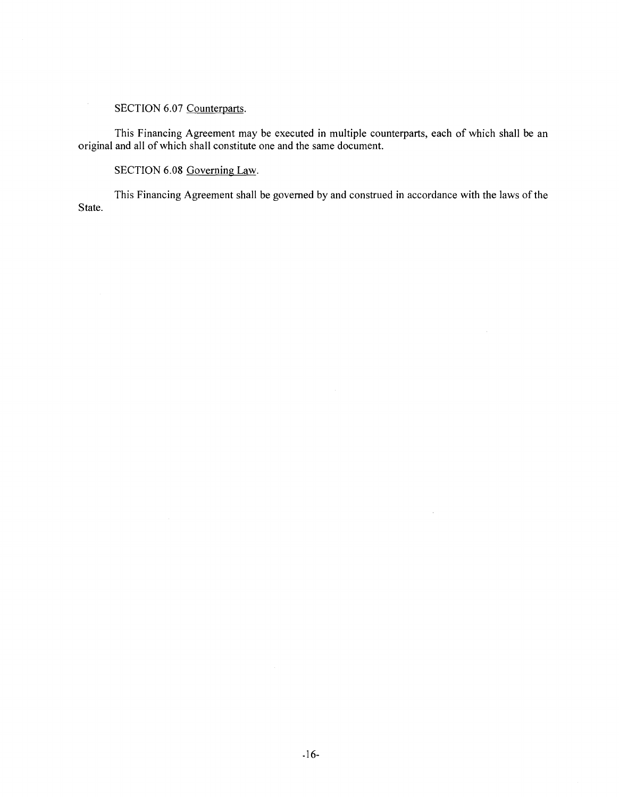# SECTION 6.07 Counterparts.

This Financing Agreement may be executed in multiple counterparts, each of which shall be an original and all of which shall constitute one and the same document.

SECTION 6.08 Governing Law.

This Financing Agreement shall be governed by and construed in accordance with the laws of the State.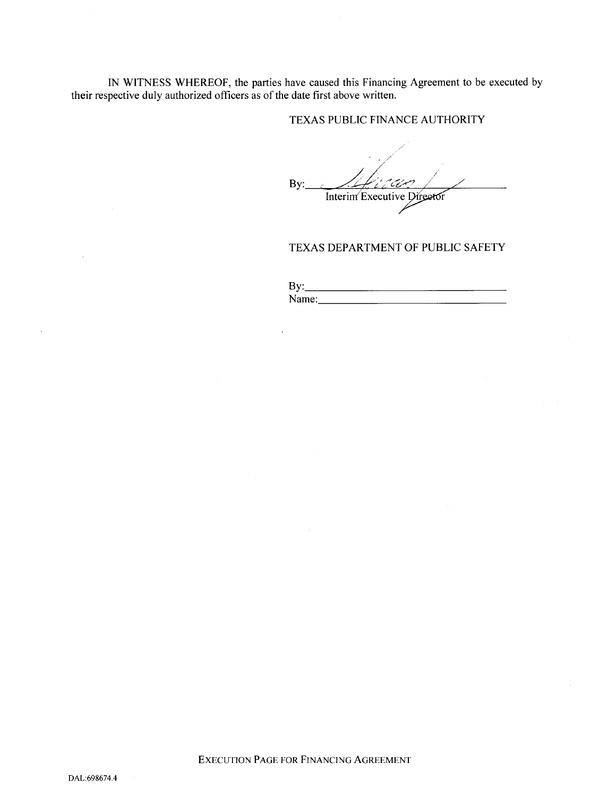IN WITNESS WHEREOF, the parties have caused this Financing Agreement to be executed by their respective duly authorized officers as of the date first above written.

 $\alpha = 100$ 

# TEXAS PUBLIC FINANCE AUTHORITY

ran  $By:$ Interim Executive Director

# TEXAS DEPARTMENT OF PUBLIC SAFETY

 $\mathbf{B} \mathbf{y}$ :  $Name:$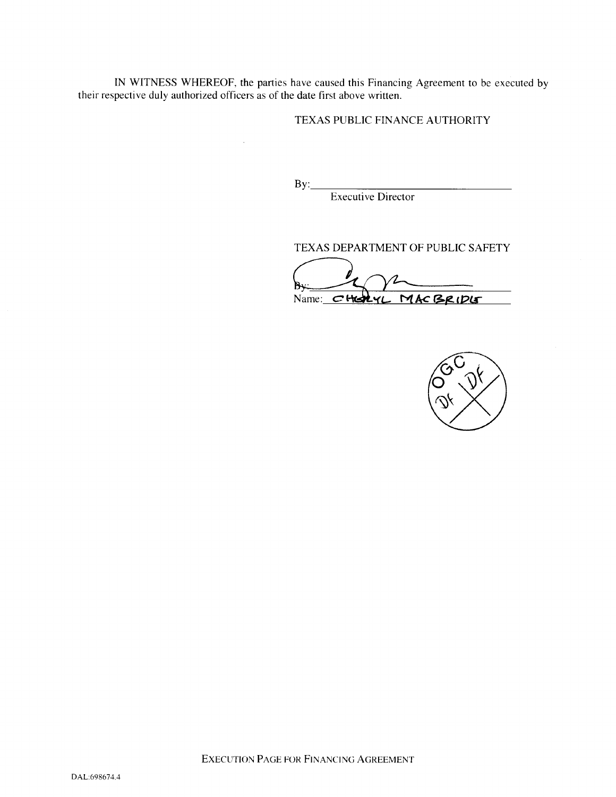IN WITNESS WHEREOF, the parties have caused this Financing Agreement to be executed by their respective duly authorized officers as of the date first above written.

## TEXAS PUBLIC FINANCE AUTHORITY

 $Bv:$ 

Executive Director

#### TEXAS DEPARTMENT OF PUBLIC SAFETY

Name: CHERYL MACBRIDLE

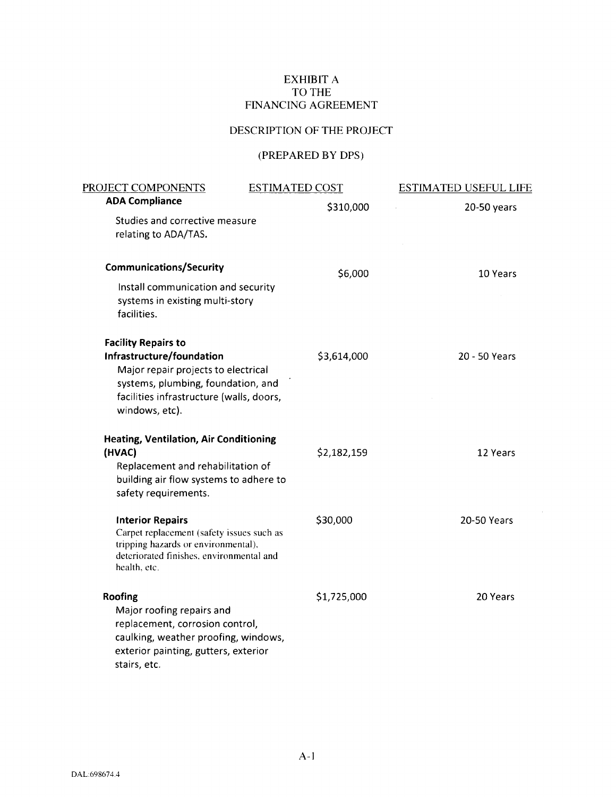# EXHIBIT A TO THE FINANCING AGREEMENT

# DESCRIPTION OF THE PROJECT

# (PREPARED BY DPS)

| PROJECT COMPONENTS                                                                                  | ESTIMATED COST | <b>ESTIMATED USEFUL LIFE</b> |
|-----------------------------------------------------------------------------------------------------|----------------|------------------------------|
| <b>ADA Compliance</b>                                                                               | \$310,000      | 20-50 years                  |
| Studies and corrective measure                                                                      |                |                              |
| relating to ADA/TAS.                                                                                |                |                              |
| <b>Communications/Security</b>                                                                      | \$6,000        | 10 Years                     |
| Install communication and security                                                                  |                |                              |
| systems in existing multi-story                                                                     |                |                              |
| facilities.                                                                                         |                |                              |
| <b>Facility Repairs to</b>                                                                          |                |                              |
| Infrastructure/foundation                                                                           | \$3,614,000    | 20 - 50 Years                |
| Major repair projects to electrical                                                                 |                |                              |
| systems, plumbing, foundation, and                                                                  |                |                              |
| facilities infrastructure (walls, doors,<br>windows, etc).                                          |                |                              |
| <b>Heating, Ventilation, Air Conditioning</b>                                                       |                |                              |
| (HVAC)                                                                                              | \$2,182,159    | 12 Years                     |
| Replacement and rehabilitation of<br>building air flow systems to adhere to<br>safety requirements. |                |                              |
| <b>Interior Repairs</b>                                                                             | \$30,000       | 20-50 Years                  |
| Carpet replacement (safety issues such as<br>tripping hazards or environmental),                    |                |                              |
| deteriorated finishes, environmental and<br>health, etc.                                            |                |                              |
| Roofing                                                                                             | \$1,725,000    | 20 Years                     |
| Major roofing repairs and                                                                           |                |                              |
| replacement, corrosion control,                                                                     |                |                              |
| caulking, weather proofing, windows,                                                                |                |                              |
| exterior painting, gutters, exterior                                                                |                |                              |
| stairs, etc.                                                                                        |                |                              |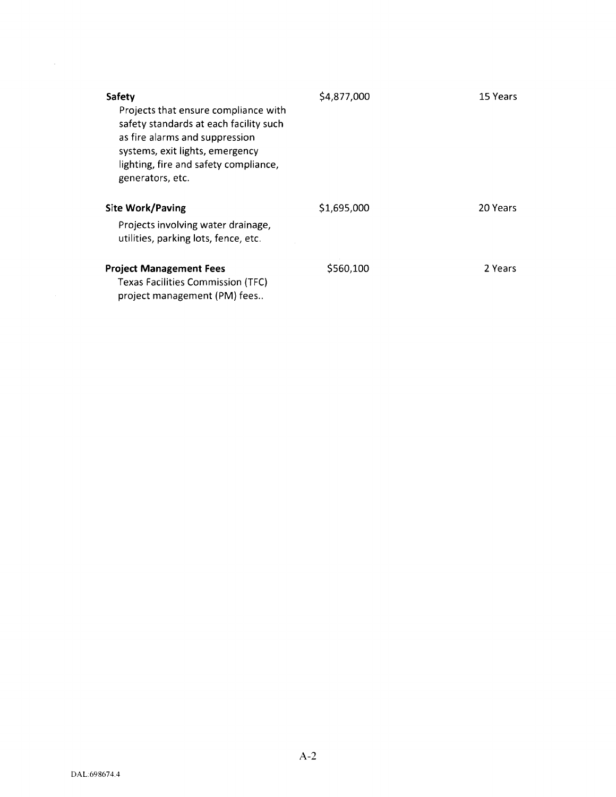| Safety<br>Projects that ensure compliance with<br>safety standards at each facility such<br>as fire alarms and suppression<br>systems, exit lights, emergency<br>lighting, fire and safety compliance,<br>generators, etc. | \$4,877,000 | 15 Years |
|----------------------------------------------------------------------------------------------------------------------------------------------------------------------------------------------------------------------------|-------------|----------|
| <b>Site Work/Paving</b><br>Projects involving water drainage,<br>utilities, parking lots, fence, etc.                                                                                                                      | \$1,695,000 | 20 Years |
| <b>Project Management Fees</b><br><b>Texas Facilities Commission (TFC)</b><br>project management (PM) fees                                                                                                                 | \$560,100   | 2 Years  |

 $\sim 10^{-1}$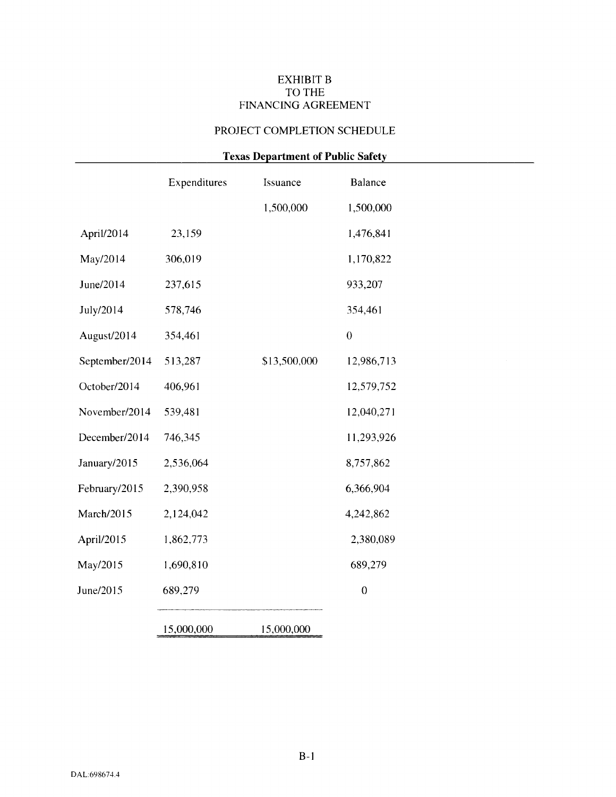# EXHIBIT **B** TO THE FINANCING AGREEMENT

# PROJECT COMPLETION SCHEDULE

 $\overline{\phantom{0}}$ 

| <b>Texas Department of Public Safety</b> |              |              |                  |  |
|------------------------------------------|--------------|--------------|------------------|--|
|                                          | Expenditures | Issuance     | Balance          |  |
|                                          |              | 1,500,000    | 1,500,000        |  |
| April/2014                               | 23,159       |              | 1,476,841        |  |
| May/2014                                 | 306,019      |              | 1,170,822        |  |
| June/2014                                | 237,615      |              | 933,207          |  |
| July/2014                                | 578,746      |              | 354,461          |  |
| August/2014                              | 354,461      |              | $\boldsymbol{0}$ |  |
| September/2014                           | 513,287      | \$13,500,000 | 12,986,713       |  |
| October/2014                             | 406,961      |              | 12,579,752       |  |
| November/2014                            | 539,481      |              | 12,040,271       |  |
| December/2014                            | 746,345      |              | 11,293,926       |  |
| January/2015                             | 2,536,064    |              | 8,757,862        |  |
| February/2015                            | 2,390,958    |              | 6,366,904        |  |
| March/2015                               | 2,124,042    |              | 4,242,862        |  |
| April/2015                               | 1,862,773    |              | 2,380,089        |  |
| May/2015                                 | 1,690,810    |              | 689,279          |  |
| June/2015                                | 689,279      |              | $\boldsymbol{0}$ |  |
|                                          | 15,000,000   | 15,000,000   |                  |  |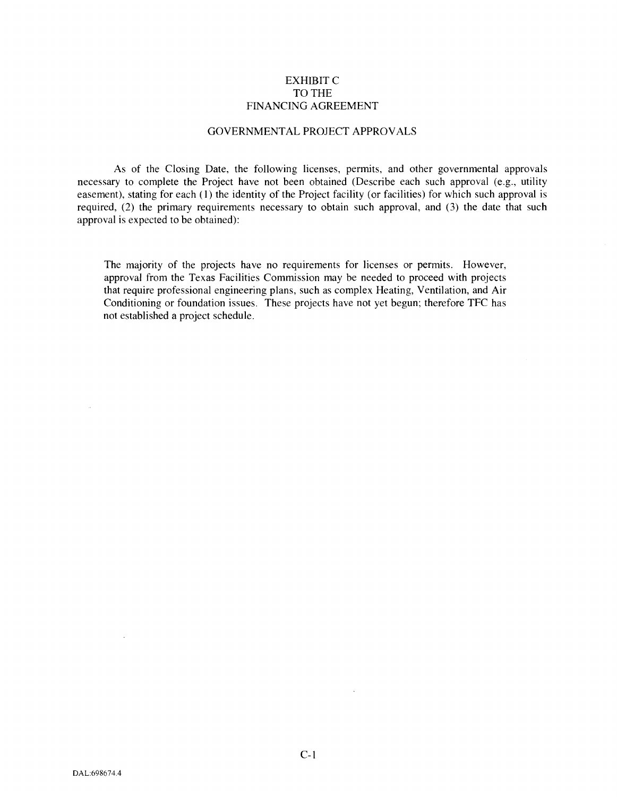## EXHIBIT C TO THE FINANCING AGREEMENT

#### GOVERNMENTAL PROJECT APPROVALS

As of the Closing Date, the following licenses, permits, and other governmental approvals necessary to complete the Project have not been obtained (Describe each such approval (e.g., utility easement), stating for each (I) the identity of the Project facility (or facilities) for which such approval is required, (2) the primary requirements necessary to obtain such approval, and (3) the date that such approval is expected to be obtained):

The majority of the projects have no requirements for licenses or permits. However, approval from the Texas Facilities Commission may be needed to proceed with projects that require professional engineering plans, such as complex Heating, Ventilation, and Air Conditioning or foundation issues. These projects have not yet begun; therefore TFC has not established a project schedule.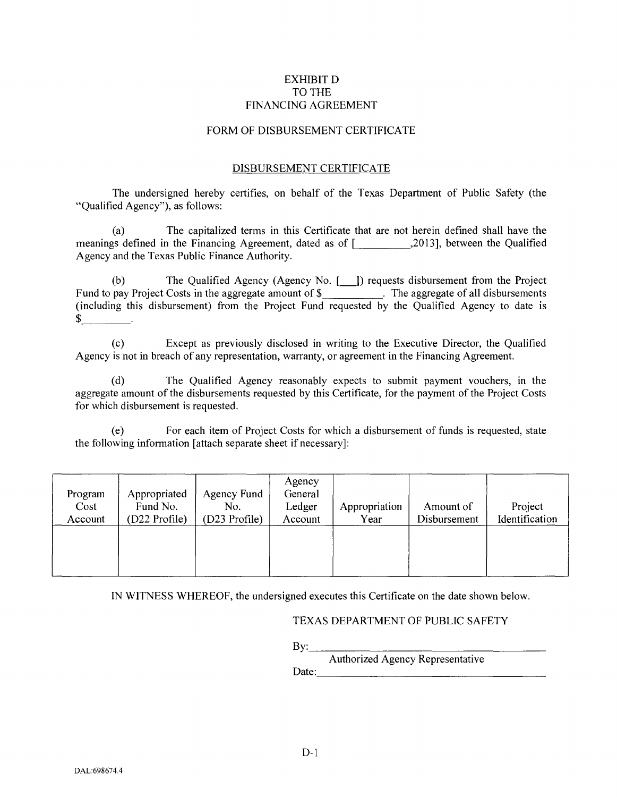# EXHIBIT D TO THE FINANCING AGREEMENT

#### FORM OF DISBURSEMENT CERTIFICATE

## DISBURSEMENT CERTIFICATE

The undersigned hereby certifies, on behalf of the Texas Department of Public Safety (the "Qualified Agency"), as follows:

(a) The capitalized terms in this Certificate that are not herein defined shall have the meanings defined in the Financing Agreement, dated as of [1,699,2013], between the Qualified Agency and the Texas Public Finance Authority.

(b) The Qualified Agency (Agency No. [\_]) requests disbursement from the Project Fund to pay Project Costs in the aggregate amount of \$ . The aggregate of all disbursements (including this disbursement) from the Project Fund requested by the Qualified Agency to date is \$

(c) Except as previously disclosed in writing to the Executive Director, the Qualified Agency is not in breach of any representation, warranty, or agreement in the Financing Agreement.

(d) The Qualified Agency reasonably expects to submit payment vouchers, in the aggregate amount of the disbursements requested by this Certificate, for the payment of the Project Costs for which disbursement is requested.

(e) For each item of Project Costs for which a disbursement of funds is requested, state the following information [attach separate sheet if necessary]:

| Program<br>Cost<br>Account | Appropriated<br>Fund No.<br>(D22 Profile) | Agency Fund<br>No.<br>(D23 Profile) | Agency<br>General<br>Ledger<br>Account | Appropriation<br>Year | Amount of<br>Disbursement | Project<br>Identification |
|----------------------------|-------------------------------------------|-------------------------------------|----------------------------------------|-----------------------|---------------------------|---------------------------|
|                            |                                           |                                     |                                        |                       |                           |                           |

IN WITNESS WHEREOF, the undersigned executes this Certificate on the date shown below.

## TEXAS DEPARTMENT OF PUBLIC SAFETY

By: \_\_\_\_\_\_\_\_\_\_\_\_\_\_\_ \_

Authorized Agency Representative<br>
Date: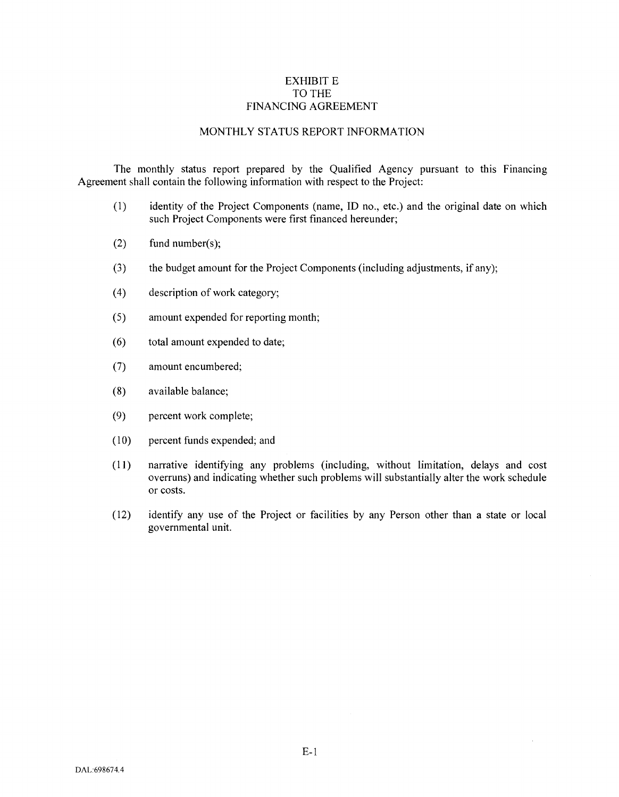# EXHIBIT E TO THE FINANCING AGREEMENT

# MONTHLY STATUS REPORT INFORMATION

The monthly status report prepared by the Qualified Agency pursuant to this Financing Agreement shall contain the following information with respect to the Project:

- (1) identity of the Project Components (name, ID no., etc.) and the original date on which such Project Components were first financed hereunder;
- (2) fund number(s);
- (3) the budget amount for the Project Components (including adjustments, if any);
- ( 4) description of work category;
- (5) amount expended for reporting month;
- (6) total amount expended to date;
- (7) amount encumbered;
- (8) available balance;
- (9) percent work complete;
- (10) percent funds expended; and
- (11) narrative identifying any problems (including, without limitation, delays and cost overruns) and indicating whether such problems will substantially alter the work schedule or costs.
- (12) identify any use of the Project or facilities by any Person other than a state or local governmental unit.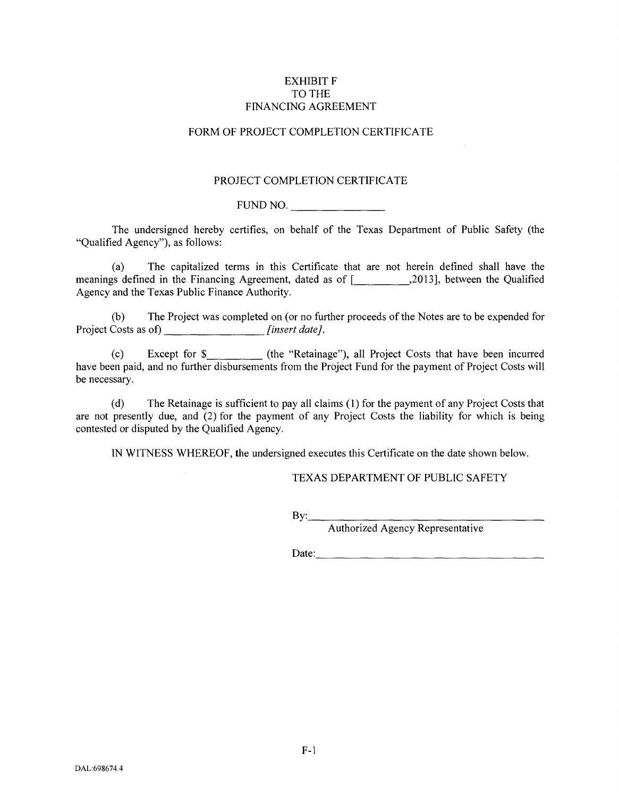# EXHIBIT F TO THE FINANCING AGREEMENT

# FORM OF PROJECT COMPLETION CERTIFICATE

#### PROJECT COMPLETION CERTIFICATE

FUND NO. \_\_\_\_\_\_ \_

The undersigned hereby certifies, on behalf of the Texas Department of Public Safety (the "Qualified Agency"), as follows:

(a) The capitalized terms in this Certificate that are not herein defined shall have the meanings defined in the Financing Agreement, dated as of [1,2013], between the Qualified Agency and the Texas Public Finance Authority.

(b) The Project was completed on (or no further proceeds of the Notes are to be expended for Project Costs as of) *[insert date]*.

(c) Except for \$\_\_\_\_\_\_\_\_\_\_ (the "Retainage"), all Project Costs that have been incurred have been paid, and no further disbursements from the Project Fund for the payment of Project Costs will be necessary.

(d) The Retainage is sufficient to pay all claims ( 1) for the payment of any Project Costs that are not presently due, and (2) for the payment of any Project Costs the liability for which is being contested or disputed by the Qualified Agency.

IN WITNESS WHEREOF, the undersigned executes this Certificate on the date shown below.

# TEXAS DEPARTMENT OF PUBLIC SAFETY

By: \_\_\_\_\_\_\_\_\_\_\_\_\_\_\_\_ \_

Authorized Agency Representative

Date: